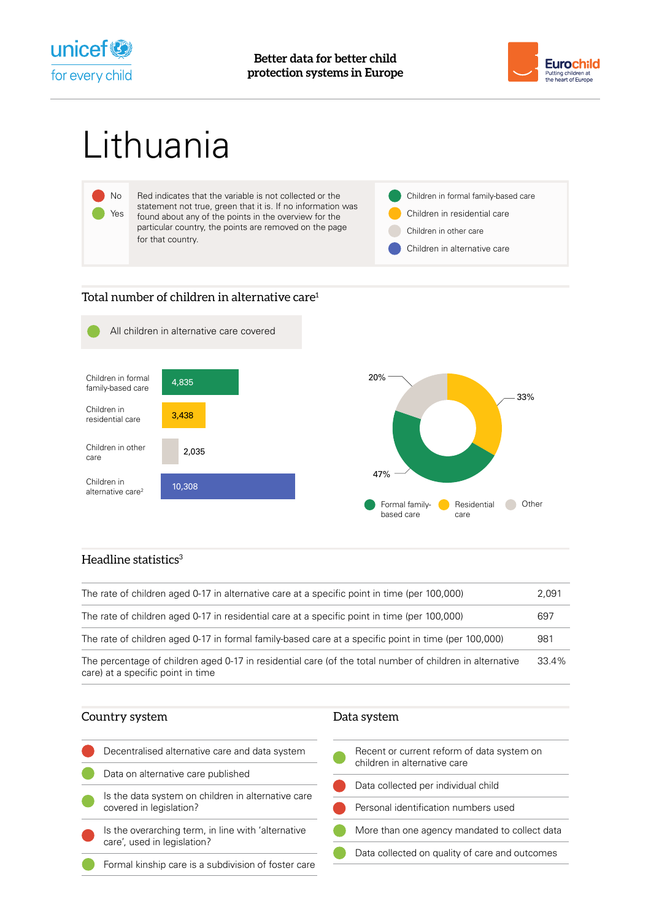



# Lithuania



# Total number of children in alternative care<sup>1</sup>



# Headline statistics $3$

| The rate of children aged 0-17 in alternative care at a specific point in time (per 100,000)                                                  | 2.091 |
|-----------------------------------------------------------------------------------------------------------------------------------------------|-------|
| The rate of children aged 0-17 in residential care at a specific point in time (per 100,000)                                                  | 697   |
| The rate of children aged 0-17 in formal family-based care at a specific point in time (per 100,000)                                          | 981   |
| The percentage of children aged 0-17 in residential care (of the total number of children in alternative<br>care) at a specific point in time | 33.4% |

| Country system                                                                    | Data system                                                                |
|-----------------------------------------------------------------------------------|----------------------------------------------------------------------------|
| Decentralised alternative care and data system                                    | Recent or current reform of data system on<br>children in alternative care |
| Data on alternative care published                                                | Data collected per individual child                                        |
| Is the data system on children in alternative care<br>covered in legislation?     | Personal identification numbers used                                       |
| Is the overarching term, in line with 'alternative<br>care', used in legislation? | More than one agency mandated to collect data                              |
| Formal kinship care is a subdivision of foster care                               | Data collected on quality of care and outcomes                             |